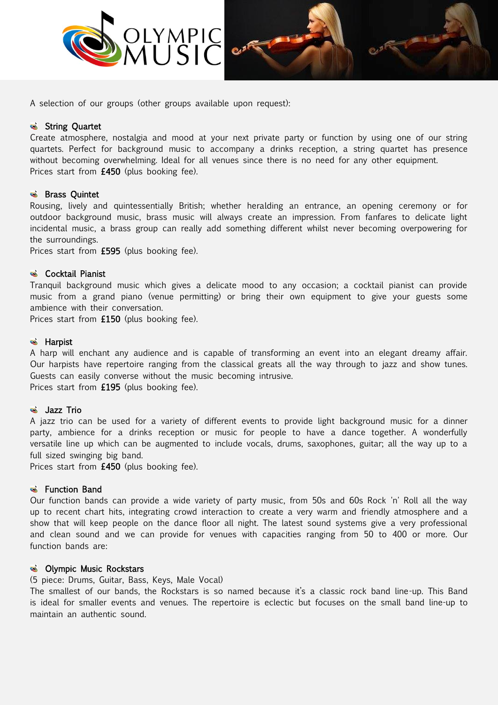



A selection of our groups (other groups available upon request):

## String Quartet

Create atmosphere, nostalgia and mood at your next private party or function by using one of our string quartets. Perfect for background music to accompany a drinks reception, a string quartet has presence without becoming overwhelming. Ideal for all venues since there is no need for any other equipment. Prices start from £450 (plus booking fee).

### **S** Brass Quintet

Rousing, lively and quintessentially British; whether heralding an entrance, an opening ceremony or for outdoor background music, brass music will always create an impression. From fanfares to delicate light incidental music, a brass group can really add something different whilst never becoming overpowering for the surroundings.

Prices start from £595 (plus booking fee).

### & Cocktail Pianist

Tranquil background music which gives a delicate mood to any occasion; a cocktail pianist can provide music from a grand piano (venue permitting) or bring their own equipment to give your guests some ambience with their conversation.

Prices start from £150 (plus booking fee).

### **S** Harpist

A harp will enchant any audience and is capable of transforming an event into an elegant dreamy affair. Our harpists have repertoire ranging from the classical greats all the way through to jazz and show tunes. Guests can easily converse without the music becoming intrusive. Prices start from £195 (plus booking fee).

### **S** Jazz Trio

A jazz trio can be used for a variety of different events to provide light background music for a dinner party, ambience for a drinks reception or music for people to have a dance together. A wonderfully versatile line up which can be augmented to include vocals, drums, saxophones, guitar; all the way up to a full sized swinging big band.

Prices start from £450 (plus booking fee).

# **S** Function Band

Our function bands can provide a wide variety of party music, from 50s and 60s Rock 'n' Roll all the way up to recent chart hits, integrating crowd interaction to create a very warm and friendly atmosphere and a show that will keep people on the dance floor all night. The latest sound systems give a very professional and clean sound and we can provide for venues with capacities ranging from 50 to 400 or more. Our function bands are:

### **S** Olympic Music Rockstars

(5 piece: Drums, Guitar, Bass, Keys, Male Vocal)

The smallest of our bands, the Rockstars is so named because it's a classic rock band line-up. This Band is ideal for smaller events and venues. The repertoire is eclectic but focuses on the small band line-up to maintain an authentic sound.